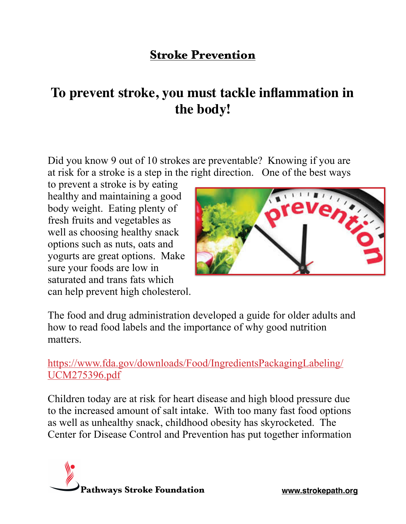## **Stroke Prevention**

# **To prevent stroke, you must tackle inflammation in the body!**

Did you know 9 out of 10 strokes are preventable? Knowing if you are at risk for a stroke is a step in the right direction. One of the best ways

to prevent a stroke is by eating healthy and maintaining a good body weight. Eating plenty of fresh fruits and vegetables as well as choosing healthy snack options such as nuts, oats and yogurts are great options. Make sure your foods are low in saturated and trans fats which can help prevent high cholesterol.



The food and drug administration developed a guide for older adults and how to read food labels and the importance of why good nutrition matters.

### [https://www.fda.gov/downloads/Food/IngredientsPackagingLabeling/](https://www.fda.gov/downloads/Food/IngredientsPackagingLabeling/UCM275396.pdf) [UCM275396.pdf](https://www.fda.gov/downloads/Food/IngredientsPackagingLabeling/UCM275396.pdf)

Children today are at risk for heart disease and high blood pressure due to the increased amount of salt intake. With too many fast food options as well as unhealthy snack, childhood obesity has skyrocketed. The Center for Disease Control and Prevention has put together information

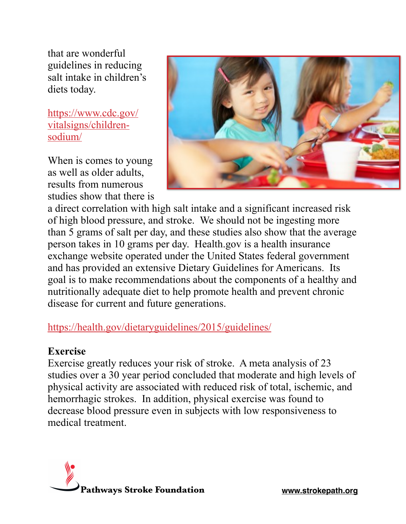that are wonderful guidelines in reducing salt intake in children's diets today.

[https://www.cdc.gov/](https://www.cdc.gov/vitalsigns/children-sodium/) [vitalsigns/children](https://www.cdc.gov/vitalsigns/children-sodium/)[sodium/](https://www.cdc.gov/vitalsigns/children-sodium/)

When is comes to young as well as older adults, results from numerous studies show that there is



a direct correlation with high salt intake and a significant increased risk of high blood pressure, and stroke. We should not be ingesting more than 5 grams of salt per day, and these studies also show that the average person takes in 10 grams per day. Health.gov is a health insurance exchange website operated under the United States federal government and has provided an extensive Dietary Guidelines for Americans. Its goal is to make recommendations about the components of a healthy and nutritionally adequate diet to help promote health and prevent chronic disease for current and future generations.

## <https://health.gov/dietaryguidelines/2015/guidelines/>

#### **Exercise**

Exercise greatly reduces your risk of stroke. A meta analysis of 23 studies over a 30 year period concluded that moderate and high levels of physical activity are associated with reduced risk of total, ischemic, and hemorrhagic strokes. In addition, physical exercise was found to decrease blood pressure even in subjects with low responsiveness to medical treatment.

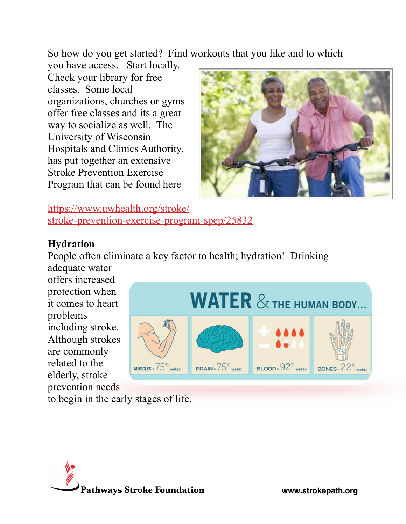So how do you get started? Find workouts that you like and to which

you have access. Start locally. Check your library for free classes. Some local organizations, churches or gyms offer free classes and its a great way to socialize as well. The University of Wisconsin Hospitals and Clinics Authority, has put together an extensive Stroke Prevention Exercise Program that can be found here



[https://www.uwhealth.org/stroke/](https://www.uwhealth.org/stroke/stroke-prevention-exercise-program-spep/25832) [stroke-prevention-exercise-program-spep/25832](https://www.uwhealth.org/stroke/stroke-prevention-exercise-program-spep/25832)

### **Hydration**

People often eliminate a key factor to health; hydration! Drinking adequate water

offers increased protection when it comes to heart problems including stroke. Although strokes are commonly related to the elderly, stroke prevention needs



to begin in the early stages of life.

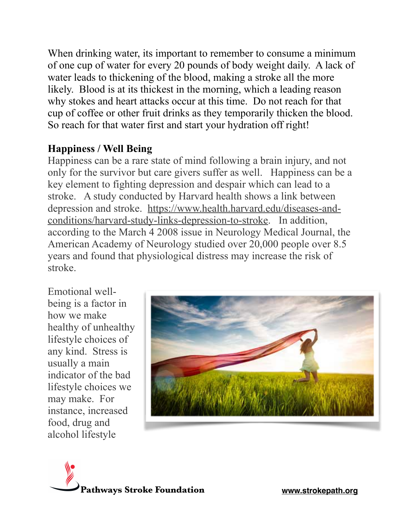When drinking water, its important to remember to consume a minimum of one cup of water for every 20 pounds of body weight daily. A lack of water leads to thickening of the blood, making a stroke all the more likely. Blood is at its thickest in the morning, which a leading reason why stokes and heart attacks occur at this time. Do not reach for that cup of coffee or other fruit drinks as they temporarily thicken the blood. So reach for that water first and start your hydration off right!

## **Happiness / Well Being**

Happiness can be a rare state of mind following a brain injury, and not only for the survivor but care givers suffer as well. Happiness can be a key element to fighting depression and despair which can lead to a stroke. A study conducted by Harvard health shows a link between [depression and stroke. https://www.health.harvard.edu/diseases-and](https://www.health.harvard.edu/diseases-and-conditions/harvard-study-links-depression-to-stroke)[conditions/harvard-study-links-depression-to-stroke](https://www.health.harvard.edu/diseases-and-conditions/harvard-study-links-depression-to-stroke). In addition, according to the March 4 2008 issue in Neurology Medical Journal, the American Academy of Neurology studied over 20,000 people over 8.5 years and found that physiological distress may increase the risk of stroke.

Emotional wellbeing is a factor in how we make healthy of unhealthy lifestyle choices of any kind. Stress is usually a main indicator of the bad lifestyle choices we may make. For instance, increased food, drug and alcohol lifestyle